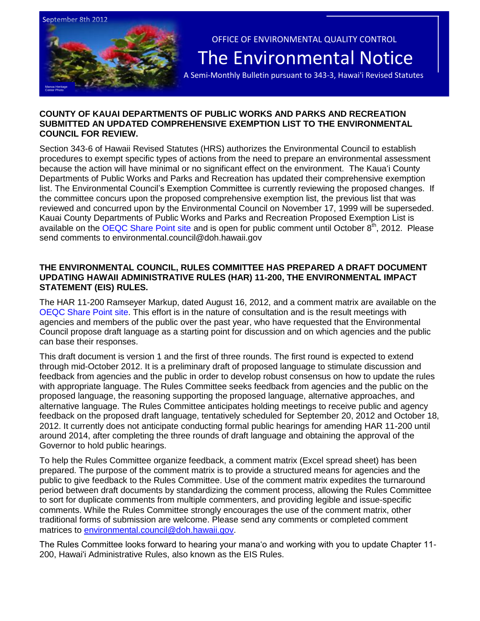

OFFICE OF ENVIRONMENTAL QUALITY CONTROL The Environmental Notice

A Semi-Monthly Bulletin pursuant to 343-3, Hawai'i Revised Statutes

# **COUNTY OF KAUAI DEPARTMENTS OF PUBLIC WORKS AND PARKS AND RECREATION SUBMITTED AN UPDATED COMPREHENSIVE EXEMPTION LIST TO THE ENVIRONMENTAL COUNCIL FOR REVIEW.**

Section 343-6 of Hawaii Revised Statutes (HRS) authorizes the Environmental Council to establish procedures to exempt specific types of actions from the need to prepare an environmental assessment because the action will have minimal or no significant effect on the environment. The Kaua'i County Departments of Public Works and Parks and Recreation has updated their comprehensive exemption list. The Environmental Council's Exemption Committee is currently reviewing the proposed changes. If the committee concurs upon the proposed comprehensive exemption list, the previous list that was reviewed and concurred upon by the Environmental Council on November 17, 1999 will be superseded. Kauai County Departments of Public Works and Parks and Recreation Proposed Exemption List is available on the [OEQC Share Point site](http://oeqc.doh.hawaii.gov/Shared%20Documents/Environmental_Council/Exemption_Lists_By_Department/Proposed-Requested-Exemptions/2012-08-01%20County%20of%20Kauai%20Departments%20of%20Public%20Works%20and%20Parks%20and%20Recreation%20Exemption%20List.doc) and is open for public comment until October 8<sup>th</sup>, 2012. Please send comments to environmental.council@doh.hawaii.gov

# **THE ENVIRONMENTAL COUNCIL, RULES COMMITTEE HAS PREPARED A DRAFT DOCUMENT UPDATING HAWAII ADMINISTRATIVE RULES (HAR) 11-200, THE ENVIRONMENTAL IMPACT STATEMENT (EIS) RULES.**

The HAR 11-200 Ramseyer Markup, dated August 16, 2012, and a comment matrix are available on the [OEQC Share Point site.](http://oeqc.doh.hawaii.gov/Shared%20Documents/Draft%20Rules%20Revisions%20(Chapter%2011-200,%20Hawaii%20Administrative%20Rules)%20and%20Comment%20Form/Draft%20HAR%2011-200%20EIS%20Rules%208.16.2012.pdf) This effort is in the nature of consultation and is the result meetings with agencies and members of the public over the past year, who have requested that the Environmental Council propose draft language as a starting point for discussion and on which agencies and the public can base their responses.

This draft document is version 1 and the first of three rounds. The first round is expected to extend through mid-October 2012. It is a preliminary draft of proposed language to stimulate discussion and feedback from agencies and the public in order to develop robust consensus on how to update the rules with appropriate language. The Rules Committee seeks feedback from agencies and the public on the proposed language, the reasoning supporting the proposed language, alternative approaches, and alternative language. The Rules Committee anticipates holding meetings to receive public and agency feedback on the proposed draft language, tentatively scheduled for September 20, 2012 and October 18, 2012. It currently does not anticipate conducting formal public hearings for amending HAR 11-200 until around 2014, after completing the three rounds of draft language and obtaining the approval of the Governor to hold public hearings.

To help the Rules Committee organize feedback, a comment matrix (Excel spread sheet) has been prepared. The purpose of the comment matrix is to provide a structured means for agencies and the public to give feedback to the Rules Committee. Use of the comment matrix expedites the turnaround period between draft documents by standardizing the comment process, allowing the Rules Committee to sort for duplicate comments from multiple commenters, and providing legible and issue-specific comments. While the Rules Committee strongly encourages the use of the comment matrix, other traditional forms of submission are welcome. Please send any comments or completed comment matrices to [environmental.council@doh.hawaii.gov.](mailto:environmental.council@doh.hawaii.gov)

The Rules Committee looks forward to hearing your mana'o and working with you to update Chapter 11- 200, Hawai'i Administrative Rules, also known as the EIS Rules.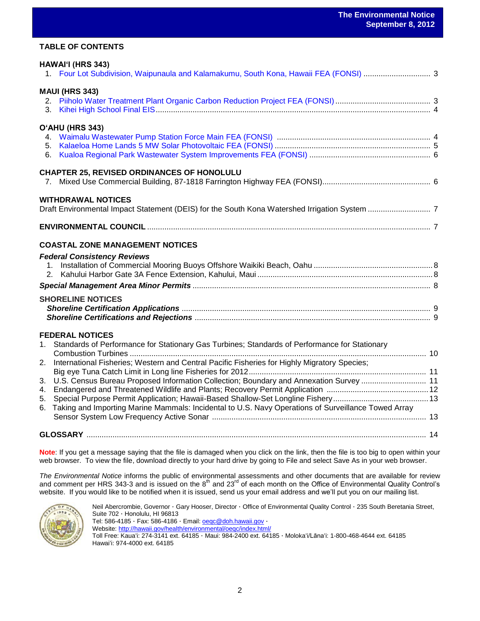### **TABLE OF CONTENTS**

| HAWAI'I (HRS 343)                                                                                         |  |
|-----------------------------------------------------------------------------------------------------------|--|
|                                                                                                           |  |
| <b>MAUI (HRS 343)</b>                                                                                     |  |
| 3.                                                                                                        |  |
| O'AHU (HRS 343)                                                                                           |  |
|                                                                                                           |  |
|                                                                                                           |  |
| 6.                                                                                                        |  |
| <b>CHAPTER 25, REVISED ORDINANCES OF HONOLULU</b>                                                         |  |
| 7.                                                                                                        |  |
| <b>WITHDRAWAL NOTICES</b>                                                                                 |  |
|                                                                                                           |  |
|                                                                                                           |  |
| <b>COASTAL ZONE MANAGEMENT NOTICES</b>                                                                    |  |
| <b>Federal Consistency Reviews</b>                                                                        |  |
|                                                                                                           |  |
| 2.                                                                                                        |  |
|                                                                                                           |  |
| <b>SHORELINE NOTICES</b>                                                                                  |  |
|                                                                                                           |  |
|                                                                                                           |  |
| <b>FEDERAL NOTICES</b>                                                                                    |  |
| Standards of Performance for Stationary Gas Turbines; Standards of Performance for Stationary<br>1.       |  |
| International Fisheries; Western and Central Pacific Fisheries for Highly Migratory Species;<br>2.        |  |
|                                                                                                           |  |
| U.S. Census Bureau Proposed Information Collection; Boundary and Annexation Survey  11<br>3.              |  |
| 4.                                                                                                        |  |
| 5.                                                                                                        |  |
| Taking and Importing Marine Mammals: Incidental to U.S. Navy Operations of Surveillance Towed Array<br>6. |  |
|                                                                                                           |  |
|                                                                                                           |  |

**Note**: If you get a message saying that the file is damaged when you click on the link, then the file is too big to open within your web browser. To view the file, download directly to your hard drive by going to File and select Save As in your web browser.

*The Environmental Notice* informs the public of environmental assessments and other documents that are available for review and comment per HRS 343-3 and is issued on the 8<sup>th</sup> and 23<sup>rd</sup> of each month on the Office of Environmental Quality Control's website. If you would like to be notified when it is issued, send us your email address and we'll put you on our mailing list.



Neil Abercrombie, Governor · Gary Hooser, Director · Office of Environmental Quality Control · 235 South Beretania Street, Suite 702 · Honolulu, HI 96813 Tel: 586-4185 · Fax: 586-4186 · Email: **oegc@doh.hawaii.gov** · Website:<http://hawaii.gov/health/environmental/oeqc/index.html/> Toll Free: Kauaʻi: 274-3141 ext. 64185 · Maui: 984-2400 ext. 64185 · Molokaʻi/Lānaʻi: 1-800-468-4644 ext. 64185 Hawaiʻi: 974-4000 ext. 64185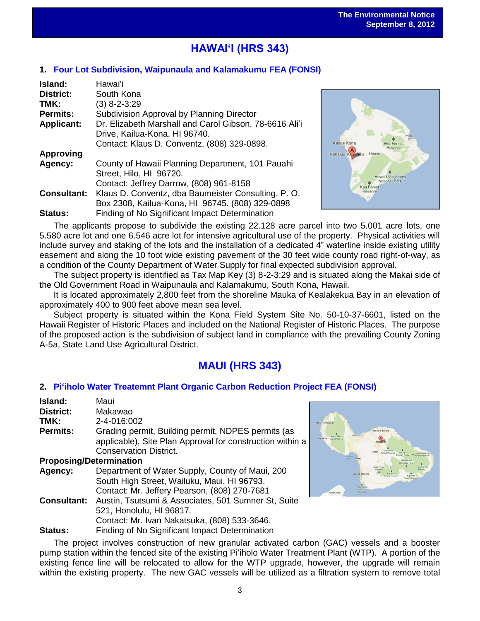# **HAWAIʻI (HRS 343)**

## **1. [Four Lot Subdivision, Waipunaula and Kalamakumu FEA](http://oeqc.doh.hawaii.gov/Shared%20Documents/EA_and_EIS_Online_Library/Hawaii/2010s/2012-09-08-HA-FEA-Four-Lot-Subdivision-Waipunaula-Kalamakumu.pdf) (FONSI)**

| Island:            | Hawaiʻi                                                |
|--------------------|--------------------------------------------------------|
| <b>District:</b>   | South Kona                                             |
| TMK:               | $(3)$ 8-2-3:29                                         |
| <b>Permits:</b>    | Subdivision Approval by Planning Director              |
| <b>Applicant:</b>  | Dr. Elizabeth Marshall and Carol Gibson, 78-6616 Ali'i |
|                    | Drive, Kailua-Kona, HI 96740.                          |
|                    | Contact: Klaus D. Conventz, (808) 329-0898.            |
| <b>Approving</b>   |                                                        |
| Agency:            | County of Hawaii Planning Department, 101 Pauahi       |
|                    | Street, Hilo, HI 96720.                                |
|                    | Contact: Jeffrey Darrow, (808) 961-8158                |
| <b>Consultant:</b> | Klaus D. Conventz, dba Baumeister Consulting. P. O.    |
|                    | Box 2308, Kailua-Kona, HI 96745. (808) 329-0898        |
| <b>Status:</b>     | Finding of No Significant Impact Determination         |



The applicants propose to subdivide the existing 22.128 acre parcel into two 5.001 acre lots, one 5.580 acre lot and one 6.546 acre lot for intensive agricultural use of the property. Physical activities will include survey and staking of the lots and the installation of a dedicated 4" waterline inside existing utility easement and along the 10 foot wide existing pavement of the 30 feet wide county road right-of-way, as a condition of the County Department of Water Supply for final expected subdivision approval.

The subject property is identified as Tax Map Key (3) 8-2-3:29 and is situated along the Makai side of the Old Government Road in Waipunaula and Kalamakumu, South Kona, Hawaii.

It is located approximately 2,800 feet from the shoreline Mauka of Kealakekua Bay in an elevation of approximately 400 to 900 feet above mean sea level.

Subject property is situated within the Kona Field System Site No. 50-10-37-6601, listed on the Hawaii Register of Historic Places and included on the National Register of Historic Places. The purpose of the proposed action is the subdivision of subject land in compliance with the prevailing County Zoning A-5a, State Land Use Agricultural District.

# **MAUI (HRS 343)**

### **2. [Piʻiholo Water Treatemnt Plant Organic Carbon Reduction Project FEA](http://oeqc.doh.hawaii.gov/Shared%20Documents/EA_and_EIS_Online_Library/Maui/2010s/2012-09-08-MA-FEA-Piiholo-Water-Treatment-Plant-Organic-Carbon-Reduction.pdf) (FONSI)**

| Island:                        | Maui                                                      |
|--------------------------------|-----------------------------------------------------------|
| District:                      | Makawao                                                   |
| TMK:                           | 2-4-016:002                                               |
| <b>Permits:</b>                | Grading permit, Building permit, NDPES permits (as        |
|                                | applicable), Site Plan Approval for construction within a |
|                                | <b>Conservation District.</b>                             |
| <b>Proposing/Determination</b> |                                                           |
| Agency:                        | Department of Water Supply, County of Maui, 200           |
|                                | South High Street, Wailuku, Maui, HI 96793.               |
|                                | Contact: Mr. Jeffery Pearson, (808) 270-7681              |
| <b>Consultant:</b>             | Austin, Tsutsumi & Associates, 501 Sumner St, Suite       |
|                                | 521, Honolulu, HI 96817.                                  |
|                                | Contact: Mr. Ivan Nakatsuka, (808) 533-3646.              |
| Status:                        | Finding of No Significant Impact Determination            |



The project involves construction of new granular activated carbon (GAC) vessels and a booster pump station within the fenced site of the existing Piʻiholo Water Treatment Plant (WTP). A portion of the existing fence line will be relocated to allow for the WTP upgrade, however, the upgrade will remain within the existing property. The new GAC vessels will be utilized as a filtration system to remove total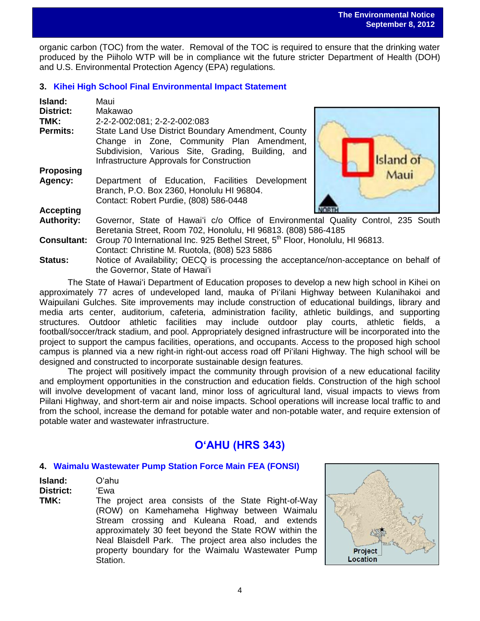organic carbon (TOC) from the water. Removal of the TOC is required to ensure that the drinking water produced by the Piiholo WTP will be in compliance wit the future stricter Department of Health (DOH) and U.S. Environmental Protection Agency (EPA) regulations.

## **3. [Kihei High School Final Environmental Impact Statement](http://oeqc.doh.hawaii.gov/Shared%20Documents/EA_and_EIS_Online_Library/Maui/2010s/2012-09-08-MA-FEIS-Kihei-High-School.pdf)**

| Island:            | Maui                                                                                      |          |  |
|--------------------|-------------------------------------------------------------------------------------------|----------|--|
| <b>District:</b>   | Makawao                                                                                   |          |  |
| TMK:               | 2-2-2-002:081; 2-2-2-002:083                                                              |          |  |
| <b>Permits:</b>    | State Land Use District Boundary Amendment, County                                        |          |  |
|                    | Change in Zone, Community Plan Amendment,                                                 |          |  |
|                    | Subdivision, Various Site, Grading, Building, and                                         |          |  |
|                    | Infrastructure Approvals for Construction                                                 | sland of |  |
| <b>Proposing</b>   |                                                                                           | Aaui     |  |
| Agency:            | Department of Education, Facilities Development                                           |          |  |
|                    | Branch, P.O. Box 2360, Honolulu HI 96804.                                                 |          |  |
|                    | Contact: Robert Purdie, (808) 586-0448                                                    |          |  |
| <b>Accepting</b>   |                                                                                           |          |  |
| <b>Authority:</b>  | Governor, State of Hawai'i c/o Office of Environmental Quality Control, 235 South         |          |  |
|                    | Beretania Street, Room 702, Honolulu, HI 96813. (808) 586-4185                            |          |  |
| <b>Consultant:</b> | Group 70 International Inc. 925 Bethel Street, 5 <sup>th</sup> Floor, Honolulu, HI 96813. |          |  |
|                    | Contact: Christine M. Ruotola, (808) 523 5886                                             |          |  |
| <b>Status:</b>     | Notice of Availability; OECQ is processing the acceptance/non-acceptance on behalf of     |          |  |
|                    | the Governor, State of Hawai'i                                                            |          |  |

The State of Hawaiʻi Department of Education proposes to develop a new high school in Kihei on approximately 77 acres of undeveloped land, mauka of Piʻilani Highway between Kulanihakoi and Waipuilani Gulches. Site improvements may include construction of educational buildings, library and media arts center, auditorium, cafeteria, administration facility, athletic buildings, and supporting structures. Outdoor athletic facilities may include outdoor play courts, athletic fields, a football/soccer/track stadium, and pool. Appropriately designed infrastructure will be incorporated into the project to support the campus facilities, operations, and occupants. Access to the proposed high school campus is planned via a new right-in right-out access road off Piʻilani Highway. The high school will be designed and constructed to incorporate sustainable design features.

The project will positively impact the community through provision of a new educational facility and employment opportunities in the construction and education fields. Construction of the high school will involve development of vacant land, minor loss of agricultural land, visual impacts to views from Piilani Highway, and short-term air and noise impacts. School operations will increase local traffic to and from the school, increase the demand for potable water and non-potable water, and require extension of potable water and wastewater infrastructure.

# **OʻAHU (HRS 343)**

### **4. [Waimalu Wastewater Pump Station Force Main FEA](http://oeqc.doh.hawaii.gov/Shared%20Documents/EA_and_EIS_Online_Library/Oahu/2010s/2012-09-08-OA-FEA-Waimalu-Wastewater-Pump-Station.pdf) (FONSI)**

| Island: | Oʻahu |
|---------|-------|
|---------|-------|

### **District:** ʻEwa

**TMK:** The project area consists of the State Right-of-Way (ROW) on Kamehameha Highway between Waimalu Stream crossing and Kuleana Road, and extends approximately 30 feet beyond the State ROW within the Neal Blaisdell Park. The project area also includes the property boundary for the Waimalu Wastewater Pump Station.

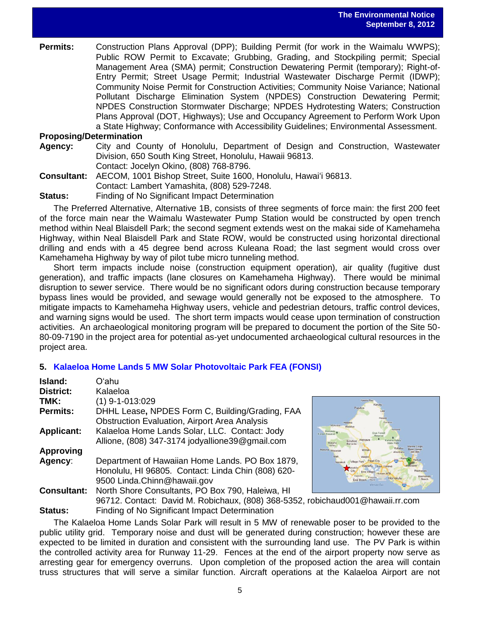**Permits:** Construction Plans Approval (DPP); Building Permit (for work in the Waimalu WWPS); Public ROW Permit to Excavate; Grubbing, Grading, and Stockpiling permit; Special Management Area (SMA) permit; Construction Dewatering Permit (temporary); Right-of-Entry Permit; Street Usage Permit; Industrial Wastewater Discharge Permit (IDWP); Community Noise Permit for Construction Activities; Community Noise Variance; National Pollutant Discharge Elimination System (NPDES) Construction Dewatering Permit; NPDES Construction Stormwater Discharge; NPDES Hydrotesting Waters; Construction Plans Approval (DOT, Highways); Use and Occupancy Agreement to Perform Work Upon a State Highway; Conformance with Accessibility Guidelines; Environmental Assessment.

## **Proposing/Determination**

- **Agency:** City and County of Honolulu, Department of Design and Construction, Wastewater Division, 650 South King Street, Honolulu, Hawaii 96813.
	- Contact: Jocelyn Okino, (808) 768-8796.
- **Consultant:** AECOM, 1001 Bishop Street, Suite 1600, Honolulu, Hawaiʻi 96813. Contact: Lambert Yamashita, (808) 529-7248.
- **Status:** Finding of No Significant Impact Determination

The Preferred Alternative, Alternative 1B, consists of three segments of force main: the first 200 feet of the force main near the Waimalu Wastewater Pump Station would be constructed by open trench method within Neal Blaisdell Park; the second segment extends west on the makai side of Kamehameha Highway, within Neal Blaisdell Park and State ROW, would be constructed using horizontal directional drilling and ends with a 45 degree bend across Kuleana Road; the last segment would cross over Kamehameha Highway by way of pilot tube micro tunneling method.

Short term impacts include noise (construction equipment operation), air quality (fugitive dust generation), and traffic impacts (lane closures on Kamehameha Highway). There would be minimal disruption to sewer service. There would be no significant odors during construction because temporary bypass lines would be provided, and sewage would generally not be exposed to the atmosphere. To mitigate impacts to Kamehameha Highway users, vehicle and pedestrian detours, traffic control devices, and warning signs would be used. The short term impacts would cease upon termination of construction activities. An archaeological monitoring program will be prepared to document the portion of the Site 50- 80-09-7190 in the project area for potential as-yet undocumented archaeological cultural resources in the project area.

### **5. [Kalaeloa Home Lands 5 MW Solar](http://oeqc.doh.hawaii.gov/Shared%20Documents/EA_and_EIS_Online_Library/Oahu/2010s/2012-09-08-OA-FEA-Kalaeloa-Home-Lands-5MW-Solar-Photovoltaic-Park.pdf) Photovoltaic Park FEA (FONSI)**

| Oʻahu                                                    |                |
|----------------------------------------------------------|----------------|
| Kalaeloa                                                 |                |
| $(1)$ 9-1-013:029                                        |                |
| DHHL Lease, NPDES Form C, Building/Grading, FAA          |                |
| <b>Obstruction Evaluation, Airport Area Analysis</b>     |                |
| Kalaeloa Home Lands Solar, LLC. Contact: Jody            | For            |
| Allione, (808) 347-3174 jodyallione39@gmail.com          |                |
|                                                          | $\overline{M}$ |
| Department of Hawaiian Home Lands. PO Box 1879,          |                |
| Honolulu, HI 96805. Contact: Linda Chin (808) 620-       |                |
| 9500 Linda.Chinn@hawaii.gov                              |                |
| North Shore Consultants, PO Box 790, Haleiwa, HI         |                |
| 96712. Contact: David M. Robichaux, (808) 368-5352, robi |                |
|                                                          |                |



chaud001@hawaii.rr.com **Status:** Finding of No Significant Impact Determination

The Kalaeloa Home Lands Solar Park will result in 5 MW of renewable poser to be provided to the public utility grid. Temporary noise and dust will be generated during construction; however these are expected to be limited in duration and consistent with the surrounding land use. The PV Park is within the controlled activity area for Runway 11-29. Fences at the end of the airport property now serve as arresting gear for emergency overruns. Upon completion of the proposed action the area will contain truss structures that will serve a similar function. Aircraft operations at the Kalaeloa Airport are not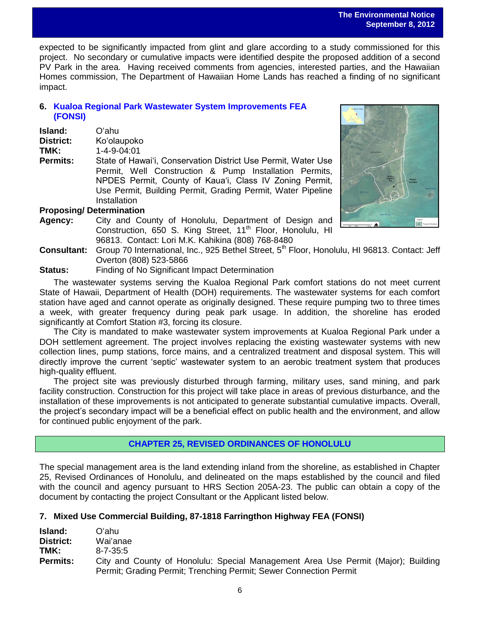expected to be significantly impacted from glint and glare according to a study commissioned for this project. No secondary or cumulative impacts were identified despite the proposed addition of a second PV Park in the area. Having received comments from agencies, interested parties, and the Hawaiian Homes commission, The Department of Hawaiian Home Lands has reached a finding of no significant impact.

# **6. [Kualoa Regional Park Wastewater System Improvements FEA](http://oeqc.doh.hawaii.gov/Shared%20Documents/EA_and_EIS_Online_Library/Oahu/2010s/2012-09-08-OA-FEA-Kualoa-Regional-Park-Wastewater-System-Improvements.pdf) [\(FONSI\)](http://oeqc.doh.hawaii.gov/Shared%20Documents/EA_and_EIS_Online_Library/Oahu/2010s/2012-09-08-OA-FEA-Kualoa-Regional-Park-Wastewater-System-Improvements.pdf)**

| Island:   | Oʻahu                     |
|-----------|---------------------------|
| District: | Ko'olaupoko               |
| TMK:      | $1 - 4 - 9 - 04 \cdot 01$ |

**Permits:** State of Hawai'i, Conservation District Use Permit, Water Use Permit, Well Construction & Pump Installation Permits, NPDES Permit, County of Kaua'i, Class IV Zoning Permit, Use Permit, Building Permit, Grading Permit, Water Pipeline **Installation** 



# **Proposing/ Determination**

- **Agency:** City and County of Honolulu, Department of Design and Construction, 650 S. King Street, 11<sup>th</sup> Floor, Honolulu, HI 96813. Contact: Lori M.K. Kahikina (808) 768-8480
- **Consultant:** Group 70 International, Inc., 925 Bethel Street, 5<sup>th</sup> Floor, Honolulu, HI 96813. Contact: Jeff Overton (808) 523-5866
- **Status:** Finding of No Significant Impact Determination

The wastewater systems serving the Kualoa Regional Park comfort stations do not meet current State of Hawaii, Department of Health (DOH) requirements. The wastewater systems for each comfort station have aged and cannot operate as originally designed. These require pumping two to three times a week, with greater frequency during peak park usage. In addition, the shoreline has eroded significantly at Comfort Station #3, forcing its closure.

The City is mandated to make wastewater system improvements at Kualoa Regional Park under a DOH settlement agreement. The project involves replacing the existing wastewater systems with new collection lines, pump stations, force mains, and a centralized treatment and disposal system. This will directly improve the current 'septic' wastewater system to an aerobic treatment system that produces high-quality effluent.

The project site was previously disturbed through farming, military uses, sand mining, and park facility construction. Construction for this project will take place in areas of previous disturbance, and the installation of these improvements is not anticipated to generate substantial cumulative impacts. Overall, the project's secondary impact will be a beneficial effect on public health and the environment, and allow for continued public enjoyment of the park.

# **CHAPTER 25, REVISED ORDINANCES OF HONOLULU**

The special management area is the land extending inland from the shoreline, as established in Chapter 25, Revised Ordinances of Honolulu, and delineated on the maps established by the council and filed with the council and agency pursuant to HRS Section 205A-23. The public can obtain a copy of the document by contacting the project Consultant or the Applicant listed below.

# **7. Mixed Use Commercial Building, 87-1818 Farringthon Highway FEA (FONSI)**

| <b>Island:</b>  | Oʻahul                                                                            |  |  |
|-----------------|-----------------------------------------------------------------------------------|--|--|
| District:       | Wai'anae                                                                          |  |  |
| TMK:            | $8 - 7 - 35.5$                                                                    |  |  |
| <b>Permits:</b> | City and County of Honolulu: Special Management Area Use Permit (Major); Building |  |  |
|                 | Permit; Grading Permit; Trenching Permit; Sewer Connection Permit                 |  |  |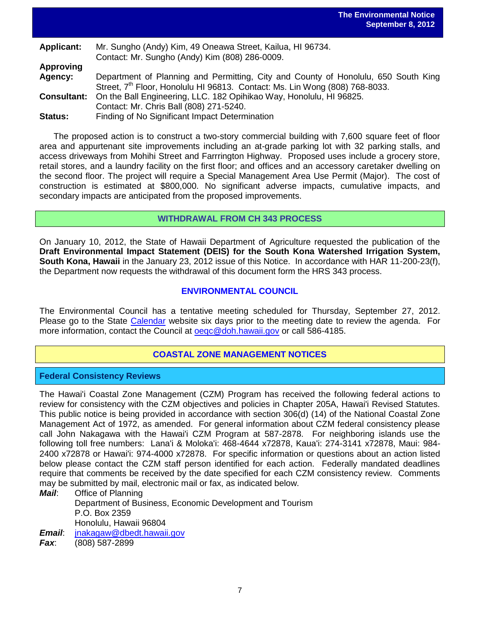| <b>Applicant:</b> | Mr. Sungho (Andy) Kim, 49 Oneawa Street, Kailua, HI 96734.                              |
|-------------------|-----------------------------------------------------------------------------------------|
|                   | Contact: Mr. Sungho (Andy) Kim (808) 286-0009.                                          |
| <b>Approving</b>  |                                                                                         |
| Agency:           | Department of Planning and Permitting, City and County of Honolulu, 650 South King      |
|                   | Street, 7 <sup>th</sup> Floor, Honolulu HI 96813. Contact: Ms. Lin Wong (808) 768-8033. |
|                   | <b>Consultant:</b> On the Ball Engineering, LLC. 182 Opihikao Way, Honolulu, HI 96825.  |
|                   | Contact: Mr. Chris Ball (808) 271-5240.                                                 |
| Status:           | Finding of No Significant Impact Determination                                          |

The proposed action is to construct a two-story commercial building with 7,600 square feet of floor area and appurtenant site improvements including an at-grade parking lot with 32 parking stalls, and access driveways from Mohihi Street and Farrrington Highway. Proposed uses include a grocery store, retail stores, and a laundry facility on the first floor; and offices and an accessory caretaker dwelling on the second floor. The project will require a Special Management Area Use Permit (Major). The cost of construction is estimated at \$800,000. No significant adverse impacts, cumulative impacts, and secondary impacts are anticipated from the proposed improvements.

### **WITHDRAWAL FROM CH 343 PROCESS**

On January 10, 2012, the State of Hawaii Department of Agriculture requested the publication of the **Draft Environmental Impact Statement (DEIS) for the South Kona Watershed Irrigation System, South Kona, Hawaii** in the January 23, 2012 issue of this Notice. In accordance with HAR 11-200-23(f), the Department now requests the withdrawal of this document form the HRS 343 process.

# **ENVIRONMENTAL COUNCIL**

The Environmental Council has a tentative meeting scheduled for Thursday, September 27, 2012. Please go to the State [Calendar](http://calendar.ehawaii.gov/calendar/html/event) website six days prior to the meeting date to review the agenda. For more information, contact the Council at oegc@doh.hawaii.gov or call 586-4185.

# **COASTAL ZONE MANAGEMENT NOTICES**

### **Federal Consistency Reviews**

The Hawai'i Coastal Zone Management (CZM) Program has received the following federal actions to review for consistency with the CZM objectives and policies in Chapter 205A, Hawai'i Revised Statutes. This public notice is being provided in accordance with section 306(d) (14) of the National Coastal Zone Management Act of 1972, as amended. For general information about CZM federal consistency please call John Nakagawa with the Hawai'i CZM Program at 587-2878. For neighboring islands use the following toll free numbers: Lana'i & Moloka'i: 468-4644 x72878, Kaua'i: 274-3141 x72878, Maui: 984- 2400 x72878 or Hawai'i: 974-4000 x72878. For specific information or questions about an action listed below please contact the CZM staff person identified for each action. Federally mandated deadlines require that comments be received by the date specified for each CZM consistency review. Comments may be submitted by mail, electronic mail or fax, as indicated below.

*Mail*: Office of Planning Department of Business, Economic Development and Tourism P.O. Box 2359 Honolulu, Hawaii 96804 *Email*: [jnakagaw@dbedt.hawaii.gov](mailto:jnakagaw@dbedt.hawaii.gov)

*Fax*: (808) 587-2899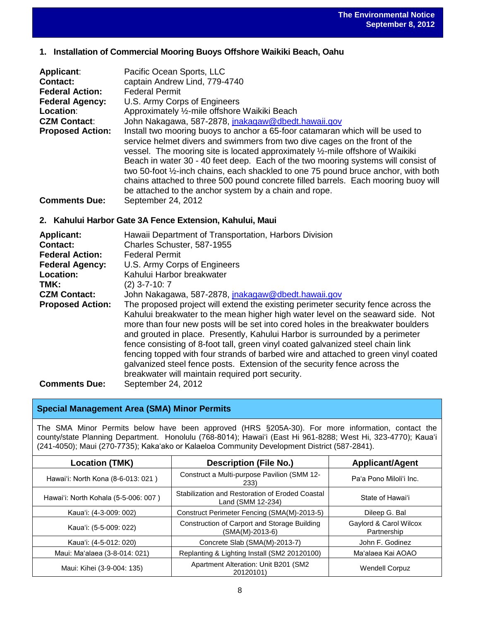# **1. Installation of Commercial Mooring Buoys Offshore Waikiki Beach, Oahu**

| <b>Applicant:</b>       | Pacific Ocean Sports, LLC                                                                                                                                                                                                                                                                                                                                                                                                                                                                                      |  |
|-------------------------|----------------------------------------------------------------------------------------------------------------------------------------------------------------------------------------------------------------------------------------------------------------------------------------------------------------------------------------------------------------------------------------------------------------------------------------------------------------------------------------------------------------|--|
| <b>Contact:</b>         | captain Andrew Lind, 779-4740                                                                                                                                                                                                                                                                                                                                                                                                                                                                                  |  |
|                         |                                                                                                                                                                                                                                                                                                                                                                                                                                                                                                                |  |
| <b>Federal Action:</b>  | <b>Federal Permit</b>                                                                                                                                                                                                                                                                                                                                                                                                                                                                                          |  |
| <b>Federal Agency:</b>  | U.S. Army Corps of Engineers                                                                                                                                                                                                                                                                                                                                                                                                                                                                                   |  |
| Location:               | Approximately 1/2-mile offshore Waikiki Beach                                                                                                                                                                                                                                                                                                                                                                                                                                                                  |  |
| <b>CZM Contact:</b>     | John Nakagawa, 587-2878, jnakagaw@dbedt.hawaii.gov                                                                                                                                                                                                                                                                                                                                                                                                                                                             |  |
| <b>Proposed Action:</b> | Install two mooring buoys to anchor a 65-foor catamaran which will be used to<br>service helmet divers and swimmers from two dive cages on the front of the<br>vessel. The mooring site is located approximately 1/2-mile offshore of Waikiki<br>Beach in water 30 - 40 feet deep. Each of the two mooring systems will consist of<br>two 50-foot 1/2-inch chains, each shackled to one 75 pound bruce anchor, with both<br>chains attached to three 500 pound concrete filled barrels. Each mooring buoy will |  |
|                         | be attached to the anchor system by a chain and rope.                                                                                                                                                                                                                                                                                                                                                                                                                                                          |  |
| <b>Comments Due:</b>    | September 24, 2012                                                                                                                                                                                                                                                                                                                                                                                                                                                                                             |  |

## **2. Kahului Harbor Gate 3A Fence Extension, Kahului, Maui**

| <b>Applicant:</b>       | Hawaii Department of Transportation, Harbors Division                                                                                                                                                                                                                                                                                                                                                                                                                                                                                                                                                                                             |  |
|-------------------------|---------------------------------------------------------------------------------------------------------------------------------------------------------------------------------------------------------------------------------------------------------------------------------------------------------------------------------------------------------------------------------------------------------------------------------------------------------------------------------------------------------------------------------------------------------------------------------------------------------------------------------------------------|--|
| Contact:                | Charles Schuster, 587-1955                                                                                                                                                                                                                                                                                                                                                                                                                                                                                                                                                                                                                        |  |
| <b>Federal Action:</b>  | <b>Federal Permit</b>                                                                                                                                                                                                                                                                                                                                                                                                                                                                                                                                                                                                                             |  |
| <b>Federal Agency:</b>  | U.S. Army Corps of Engineers                                                                                                                                                                                                                                                                                                                                                                                                                                                                                                                                                                                                                      |  |
| Location:               | Kahului Harbor breakwater                                                                                                                                                                                                                                                                                                                                                                                                                                                                                                                                                                                                                         |  |
| TMK:                    | $(2)$ 3-7-10: 7                                                                                                                                                                                                                                                                                                                                                                                                                                                                                                                                                                                                                                   |  |
| <b>CZM Contact:</b>     | John Nakagawa, 587-2878, jnakagaw@dbedt.hawaii.gov                                                                                                                                                                                                                                                                                                                                                                                                                                                                                                                                                                                                |  |
| <b>Proposed Action:</b> | The proposed project will extend the existing perimeter security fence across the<br>Kahului breakwater to the mean higher high water level on the seaward side. Not<br>more than four new posts will be set into cored holes in the breakwater boulders<br>and grouted in place. Presently, Kahului Harbor is surrounded by a perimeter<br>fence consisting of 8-foot tall, green vinyl coated galvanized steel chain link<br>fencing topped with four strands of barbed wire and attached to green vinyl coated<br>galvanized steel fence posts. Extension of the security fence across the<br>breakwater will maintain required port security. |  |
| <b>Comments Due:</b>    | September 24, 2012                                                                                                                                                                                                                                                                                                                                                                                                                                                                                                                                                                                                                                |  |

# **Special Management Area (SMA) Minor Permits**

The SMA Minor Permits below have been approved (HRS §205A-30). For more information, contact the county/state Planning Department. Honolulu (768-8014); Hawai'i (East Hi 961-8288; West Hi, 323-4770); Kaua'i (241-4050); Maui (270-7735); Kaka'ako or Kalaeloa Community Development District (587-2841).

| Location (TMK)                       | <b>Description (File No.)</b>                                        | <b>Applicant/Agent</b>                |
|--------------------------------------|----------------------------------------------------------------------|---------------------------------------|
| Hawai'i: North Kona (8-6-013: 021)   | Construct a Multi-purpose Pavilion (SMM 12-<br>233)                  | Pa'a Pono Miloli'i Inc.               |
| Hawai'i: North Kohala (5-5-006: 007) | Stabilization and Restoration of Eroded Coastal<br>Land (SMM 12-234) | State of Hawai'i                      |
| Kaua'i: (4-3-009: 002)               | Construct Perimeter Fencing (SMA(M)-2013-5)                          | Dileep G. Bal                         |
| Kaua'i: (5-5-009: 022)               | Construction of Carport and Storage Building<br>(SMA(M)-2013-6)      | Gaylord & Carol Wilcox<br>Partnership |
| Kaua'i: (4-5-012: 020)               | Concrete Slab (SMA(M)-2013-7)                                        | John F. Godinez                       |
| Maui: Ma'alaea (3-8-014: 021)        | Replanting & Lighting Install (SM2 20120100)                         | Ma'alaea Kai AOAO                     |
| Maui: Kihei (3-9-004: 135)           | Apartment Alteration: Unit B201 (SM2<br>20120101)                    | <b>Wendell Corpuz</b>                 |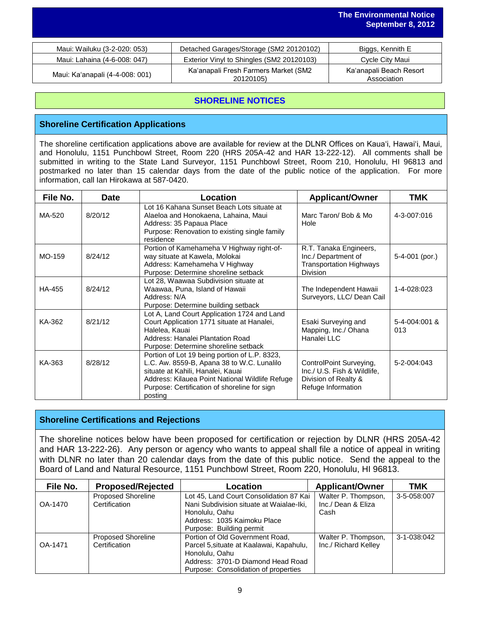| Maui: Wailuku (3-2-020: 053)    | Detached Garages/Storage (SM2 20120102)           | Biggs, Kennith E                       |
|---------------------------------|---------------------------------------------------|----------------------------------------|
| Maui: Lahaina (4-6-008: 047)    | Exterior Vinyl to Shingles (SM2 20120103)         | Cycle City Maui                        |
| Maui: Ka'anapali (4-4-008: 001) | Ka'anapali Fresh Farmers Market (SM2<br>20120105) | Ka'anapali Beach Resort<br>Association |

# **SHORELINE NOTICES**

## **Shoreline Certification Applications**

The shoreline certification applications above are available for review at the DLNR Offices on Kauaʻi, Hawaiʻi, Maui, and Honolulu, 1151 Punchbowl Street, Room 220 (HRS 205A-42 and HAR 13-222-12). All comments shall be submitted in writing to the State Land Surveyor, 1151 Punchbowl Street, Room 210, Honolulu, HI 96813 and postmarked no later than 15 calendar days from the date of the public notice of the application. For more information, call Ian Hirokawa at 587-0420.

| File No. | <b>Date</b> | Location                                                                                                                                                                                                                                       | <b>Applicant/Owner</b>                                                                               | <b>TMK</b>           |
|----------|-------------|------------------------------------------------------------------------------------------------------------------------------------------------------------------------------------------------------------------------------------------------|------------------------------------------------------------------------------------------------------|----------------------|
| MA-520   | 8/20/12     | Lot 16 Kahana Sunset Beach Lots situate at<br>Alaeloa and Honokaena, Lahaina, Maui<br>Address: 35 Papaua Place<br>Purpose: Renovation to existing single family<br>residence                                                                   | Marc Taron/ Bob & Mo<br>Hole                                                                         | 4-3-007:016          |
| MO-159   | 8/24/12     | Portion of Kamehameha V Highway right-of-<br>way situate at Kawela, Molokai<br>Address: Kamehameha V Highway<br>Purpose: Determine shoreline setback                                                                                           | R.T. Tanaka Engineers,<br>Inc./ Department of<br><b>Transportation Highways</b><br><b>Division</b>   | 5-4-001 (por.)       |
| HA-455   | 8/24/12     | Lot 28, Waawaa Subdivision situate at<br>Waawaa, Puna, Island of Hawaii<br>Address: N/A<br>Purpose: Determine building setback                                                                                                                 | The Independent Hawaii<br>Surveyors, LLC/ Dean Cail                                                  | 1-4-028:023          |
| KA-362   | 8/21/12     | Lot A, Land Court Application 1724 and Land<br>Court Application 1771 situate at Hanalei,<br>Halelea, Kauai<br>Address: Hanalei Plantation Road<br>Purpose: Determine shoreline setback                                                        | Esaki Surveying and<br>Mapping, Inc./ Ohana<br>Hanalei LLC                                           | 5-4-004:001 &<br>013 |
| KA-363   | 8/28/12     | Portion of Lot 19 being portion of L.P. 8323,<br>L.C. Aw. 8559-B, Apana 38 to W.C. Lunalilo<br>situate at Kahili, Hanalei, Kauai<br>Address: Kilauea Point National Wildlife Refuge<br>Purpose: Certification of shoreline for sign<br>posting | ControlPoint Surveying,<br>Inc./ U.S. Fish & Wildlife,<br>Division of Realty &<br>Refuge Information | 5-2-004:043          |

### **Shoreline Certifications and Rejections**

The shoreline notices below have been proposed for certification or rejection by DLNR (HRS 205A-42 and HAR 13-222-26). Any person or agency who wants to appeal shall file a notice of appeal in writing with DLNR no later than 20 calendar days from the date of this public notice. Send the appeal to the Board of Land and Natural Resource, 1151 Punchbowl Street, Room 220, Honolulu, HI 96813.

| File No. | <b>Proposed/Rejected</b>                   | Location                                                                            | <b>Applicant/Owner</b>                    | TMK         |
|----------|--------------------------------------------|-------------------------------------------------------------------------------------|-------------------------------------------|-------------|
| OA-1470  | <b>Proposed Shoreline</b><br>Certification | Lot 45, Land Court Consolidation 87 Kai<br>Nani Subdivision situate at Waialae-Iki, | Walter P. Thompson,<br>Inc./ Dean & Eliza | 3-5-058:007 |
|          |                                            | Honolulu, Oahu                                                                      | Cash                                      |             |
|          |                                            | Address: 1035 Kaimoku Place                                                         |                                           |             |
|          |                                            | Purpose: Building permit                                                            |                                           |             |
|          | <b>Proposed Shoreline</b>                  | Portion of Old Government Road,                                                     | Walter P. Thompson,                       | 3-1-038:042 |
| OA-1471  | Certification                              | Parcel 5, situate at Kaalawai, Kapahulu,                                            | Inc./ Richard Kelley                      |             |
|          |                                            | Honolulu, Oahu                                                                      |                                           |             |
|          |                                            | Address: 3701-D Diamond Head Road                                                   |                                           |             |
|          |                                            | Purpose: Consolidation of properties                                                |                                           |             |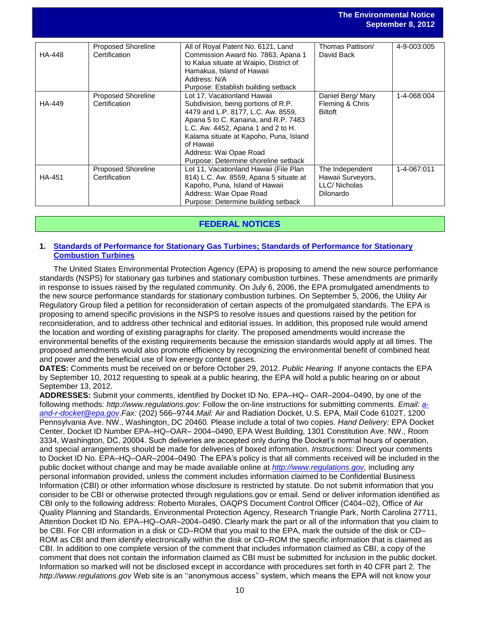|               |                                     |                                                                                                                                                                                                                                                                                                                 |                                                                   | September 8, 2012 |
|---------------|-------------------------------------|-----------------------------------------------------------------------------------------------------------------------------------------------------------------------------------------------------------------------------------------------------------------------------------------------------------------|-------------------------------------------------------------------|-------------------|
| HA-448        | Proposed Shoreline<br>Certification | All of Royal Patent No. 6121, Land<br>Commission Award No. 7863, Apana 1<br>to Kalua situate at Waipio, District of<br>Hamakua, Island of Hawaii<br>Address: N/A<br>Purpose: Establish building setback                                                                                                         | Thomas Pattison/<br>David Back                                    | 4-9-003:005       |
| HA-449        | Proposed Shoreline<br>Certification | Lot 17, Vacationland Hawaii<br>Subdivision, being portions of R.P.<br>4479 and L.P. 8177, L.C. Aw. 8559,<br>Apana 5 to C. Kanaina, and R.P. 7483<br>L.C. Aw. 4452, Apana 1 and 2 to H.<br>Kalama situate at Kapoho, Puna, Island<br>of Hawaii<br>Address: Wai Opae Road<br>Purpose: Determine shoreline setback | Daniel Berg/ Mary<br>Fleming & Chris<br><b>Biltoft</b>            | 1-4-068:004       |
| <b>HA-451</b> | Proposed Shoreline<br>Certification | Lot 11, Vacationland Hawaii (File Plan<br>814) L.C. Aw. 8559, Apana 5 situate at<br>Kapoho, Puna, Island of Hawaii<br>Address: Wae Opae Road<br>Purpose: Determine building setback                                                                                                                             | The Independent<br>Hawaii Surveyors,<br>LLC/Nicholas<br>Dilonardo | 1-4-067:011       |

**The Environmental Notice**

# **FEDERAL NOTICES**

### **1. [Standards of Performance for Stationary Gas Turbines; Standards of Performance for Stationary](http://www.gpo.gov/fdsys/pkg/FR-2012-08-29/pdf/2012-20524.pdf) [Combustion Turbines](http://www.gpo.gov/fdsys/pkg/FR-2012-08-29/pdf/2012-20524.pdf)**

The United States Environmental Protection Agency (EPA) is proposing to amend the new source performance standards (NSPS) for stationary gas turbines and stationary combustion turbines. These amendments are primarily in response to issues raised by the regulated community. On July 6, 2006, the EPA promulgated amendments to the new source performance standards for stationary combustion turbines. On September 5, 2006, the Utility Air Regulatory Group filed a petition for reconsideration of certain aspects of the promulgated standards. The EPA is proposing to amend specific provisions in the NSPS to resolve issues and questions raised by the petition for reconsideration, and to address other technical and editorial issues. In addition, this proposed rule would amend the location and wording of existing paragraphs for clarity. The proposed amendments would increase the environmental benefits of the existing requirements because the emission standards would apply at all times. The proposed amendments would also promote efficiency by recognizing the environmental benefit of combined heat and power and the beneficial use of low energy content gases.

**DATES:** Comments must be received on or before October 29, 2012. *Public Hearing.* If anyone contacts the EPA by September 10, 2012 requesting to speak at a public hearing, the EPA will hold a public hearing on or about September 13, 2012.

**ADDRESSES:** Submit your comments, identified by Docket ID No. EPA–HQ– OAR–2004–0490, by one of the following methods: *http://www.regulations.gov:* Follow the on-line instructions for submitting comments. *Email: [a](mailto:a-and-r-docket@epa.gov)[and-r-docket@epa.gov](mailto:a-and-r-docket@epa.gov)*.*Fax:* (202) 566–9744.*Mail:* Air and Radiation Docket, U.S. EPA, Mail Code 6102T, 1200 Pennsylvania Ave. NW., Washington, DC 20460. Please include a total of two copies. *Hand Delivery:* EPA Docket Center, Docket ID Number EPA–HQ–OAR– 2004–0490, EPA West Building, 1301 Constitution Ave. NW., Room 3334, Washington, DC, 20004. Such deliveries are accepted only during the Docket's normal hours of operation, and special arrangements should be made for deliveries of boxed information. *Instructions:* Direct your comments to Docket ID No. EPA–HQ–OAR–2004–0490. The EPA's policy is that all comments received will be included in the public docket without change and may be made available online at *[http://www.regulations.gov,](http://www.regulations.gov/)* including any personal information provided, unless the comment includes information claimed to be Confidential Business Information (CBI) or other information whose disclosure is restricted by statute. Do not submit information that you consider to be CBI or otherwise protected through regulations.gov or email. Send or deliver information identified as CBI only to the following address: Roberto Morales, OAQPS Document Control Officer (C404–02), Office of Air Quality Planning and Standards, Environmental Protection Agency, Research Triangle Park, North Carolina 27711, Attention Docket ID No. EPA–HQ–OAR–2004–0490. Clearly mark the part or all of the information that you claim to be CBI. For CBI information in a disk or CD–ROM that you mail to the EPA, mark the outside of the disk or CD– ROM as CBI and then identify electronically within the disk or CD–ROM the specific information that is claimed as CBI. In addition to one complete version of the comment that includes information claimed as CBI, a copy of the comment that does not contain the information claimed as CBI must be submitted for inclusion in the public docket. Information so marked will not be disclosed except in accordance with procedures set forth in 40 CFR part 2. The *http://www.regulations.gov* Web site is an ''anonymous access'' system, which means the EPA will not know your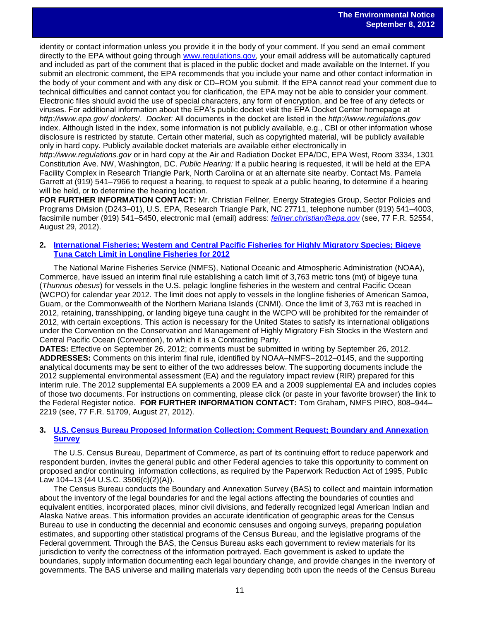identity or contact information unless you provide it in the body of your comment. If you send an email comment directly to the EPA without going through [www.regulations.gov,](http://www.regulations.gov/) your email address will be automatically captured and included as part of the comment that is placed in the public docket and made available on the Internet. If you submit an electronic comment, the EPA recommends that you include your name and other contact information in the body of your comment and with any disk or CD–ROM you submit. If the EPA cannot read your comment due to technical difficulties and cannot contact you for clarification, the EPA may not be able to consider your comment. Electronic files should avoid the use of special characters, any form of encryption, and be free of any defects or viruses. For additional information about the EPA's public docket visit the EPA Docket Center homepage at *http://www.epa.gov/ dockets/*. *Docket:* All documents in the docket are listed in the *http://www.regulations.gov*  index. Although listed in the index, some information is not publicly available, e.g., CBI or other information whose disclosure is restricted by statute. Certain other material, such as copyrighted material, will be publicly available only in hard copy. Publicly available docket materials are available either electronically in

*http://www.regulations.gov* or in hard copy at the Air and Radiation Docket EPA/DC, EPA West, Room 3334, 1301 Constitution Ave. NW, Washington, DC. *Public Hearing:* If a public hearing is requested, it will be held at the EPA Facility Complex in Research Triangle Park, North Carolina or at an alternate site nearby. Contact Ms. Pamela Garrett at (919) 541–7966 to request a hearing, to request to speak at a public hearing, to determine if a hearing will be held, or to determine the hearing location.

**FOR FURTHER INFORMATION CONTACT:** Mr. Christian Fellner, Energy Strategies Group, Sector Policies and Programs Division (D243–01), U.S. EPA, Research Triangle Park, NC 27711, telephone number (919) 541–4003, facsimile number (919) 541–5450, electronic mail (email) address: *[fellner.christian@epa.gov](mailto:fellner.christian@epa.gov)* (see, 77 F.R. 52554, August 29, 2012).

### **2. [International Fisheries; Western and Central Pacific Fisheries for Highly Migratory Species; Bigeye](http://www.gpo.gov/fdsys/pkg/FR-2012-08-27/pdf/2012-21092.pdf)  [Tuna Catch Limit in Longline Fisheries for 2012](http://www.gpo.gov/fdsys/pkg/FR-2012-08-27/pdf/2012-21092.pdf)**

The National Marine Fisheries Service (NMFS), National Oceanic and Atmospheric Administration (NOAA), Commerce, have issued an interim final rule establishing a catch limit of 3,763 metric tons (mt) of bigeye tuna (*Thunnus obesus*) for vessels in the U.S. pelagic longline fisheries in the western and central Pacific Ocean (WCPO) for calendar year 2012. The limit does not apply to vessels in the longline fisheries of American Samoa, Guam, or the Commonwealth of the Northern Mariana Islands (CNMI). Once the limit of 3,763 mt is reached in 2012, retaining, transshipping, or landing bigeye tuna caught in the WCPO will be prohibited for the remainder of 2012, with certain exceptions. This action is necessary for the United States to satisfy its international obligations under the Convention on the Conservation and Management of Highly Migratory Fish Stocks in the Western and Central Pacific Ocean (Convention), to which it is a Contracting Party.

**DATES:** Effective on September 26, 2012; comments must be submitted in writing by September 26, 2012. **ADDRESSES:** Comments on this interim final rule, identified by NOAA–NMFS–2012–0145, and the supporting analytical documents may be sent to either of the two addresses below. The supporting documents include the 2012 supplemental environmental assessment (EA) and the regulatory impact review (RIR) prepared for this interim rule. The 2012 supplemental EA supplements a 2009 EA and a 2009 supplemental EA and includes copies of those two documents. For instructions on commenting, please click (or paste in your favorite browser) the link to the Federal Register notice. **FOR FURTHER INFORMATION CONTACT:** Tom Graham, NMFS PIRO, 808–944– 2219 (see, 77 F.R. 51709, August 27, 2012).

### **3. [U.S. Census Bureau Proposed Information Collection; Comment Request; Boundary and Annexation](http://www.gpo.gov/fdsys/pkg/FR-2012-08-22/pdf/2012-20579.pdf)  [Survey](http://www.gpo.gov/fdsys/pkg/FR-2012-08-22/pdf/2012-20579.pdf)**

The U.S. Census Bureau, Department of Commerce, as part of its continuing effort to reduce paperwork and respondent burden, invites the general public and other Federal agencies to take this opportunity to comment on proposed and/or continuing information collections, as required by the Paperwork Reduction Act of 1995, Public Law 104–13 (44 U.S.C. 3506(c)(2)(A)).

The Census Bureau conducts the Boundary and Annexation Survey (BAS) to collect and maintain information about the inventory of the legal boundaries for and the legal actions affecting the boundaries of counties and equivalent entities, incorporated places, minor civil divisions, and federally recognized legal American Indian and Alaska Native areas. This information provides an accurate identification of geographic areas for the Census Bureau to use in conducting the decennial and economic censuses and ongoing surveys, preparing population estimates, and supporting other statistical programs of the Census Bureau, and the legislative programs of the Federal government. Through the BAS, the Census Bureau asks each government to review materials for its jurisdiction to verify the correctness of the information portrayed. Each government is asked to update the boundaries, supply information documenting each legal boundary change, and provide changes in the inventory of governments. The BAS universe and mailing materials vary depending both upon the needs of the Census Bureau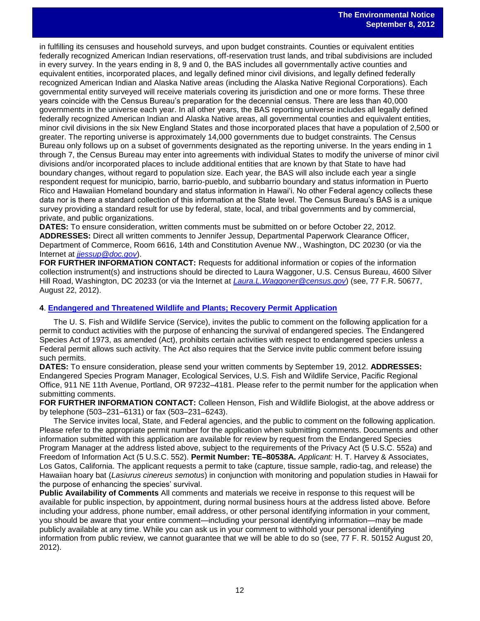in fulfilling its censuses and household surveys, and upon budget constraints. Counties or equivalent entities federally recognized American Indian reservations, off-reservation trust lands, and tribal subdivisions are included in every survey. In the years ending in 8, 9 and 0, the BAS includes all governmentally active counties and equivalent entities, incorporated places, and legally defined minor civil divisions, and legally defined federally recognized American Indian and Alaska Native areas (including the Alaska Native Regional Corporations). Each governmental entity surveyed will receive materials covering its jurisdiction and one or more forms. These three years coincide with the Census Bureau's preparation for the decennial census. There are less than 40,000 governments in the universe each year. In all other years, the BAS reporting universe includes all legally defined federally recognized American Indian and Alaska Native areas, all governmental counties and equivalent entities, minor civil divisions in the six New England States and those incorporated places that have a population of 2,500 or greater. The reporting universe is approximately 14,000 governments due to budget constraints. The Census Bureau only follows up on a subset of governments designated as the reporting universe. In the years ending in 1 through 7, the Census Bureau may enter into agreements with individual States to modify the universe of minor civil divisions and/or incorporated places to include additional entities that are known by that State to have had boundary changes, without regard to population size. Each year, the BAS will also include each year a single respondent request for municipio, barrio, barrio-pueblo, and subbarrio boundary and status information in Puerto Rico and Hawaiian Homeland boundary and status information in Hawai'i. No other Federal agency collects these data nor is there a standard collection of this information at the State level. The Census Bureau's BAS is a unique survey providing a standard result for use by federal, state, local, and tribal governments and by commercial, private, and public organizations.

**DATES:** To ensure consideration, written comments must be submitted on or before October 22, 2012. **ADDRESSES:** Direct all written comments to Jennifer Jessup, Departmental Paperwork Clearance Officer, Department of Commerce, Room 6616, 14th and Constitution Avenue NW., Washington, DC 20230 (or via the Internet at *[jjessup@doc.gov](mailto:jjessup@doc.gov)*).

**FOR FURTHER INFORMATION CONTACT:** Requests for additional information or copies of the information collection instrument(s) and instructions should be directed to Laura Waggoner, U.S. Census Bureau, 4600 Silver Hill Road, Washington, DC 20233 (or via the Internet at *[Laura.L.Waggoner@census.gov](mailto:Laura.L.Waggoner@census.gov)*) (see, 77 F.R. 50677, August 22, 2012).

### **4**. **[Endangered and Threatened Wildlife and Plants; Recovery Permit Application](http://www.gpo.gov/fdsys/pkg/FR-2012-08-20/pdf/2012-20364.pdf)**

The U. S. Fish and Wildlife Service (Service), invites the public to comment on the following application for a permit to conduct activities with the purpose of enhancing the survival of endangered species. The Endangered Species Act of 1973, as amended (Act), prohibits certain activities with respect to endangered species unless a Federal permit allows such activity. The Act also requires that the Service invite public comment before issuing such permits.

**DATES:** To ensure consideration, please send your written comments by September 19, 2012. **ADDRESSES:**  Endangered Species Program Manager, Ecological Services, U.S. Fish and Wildlife Service, Pacific Regional Office, 911 NE 11th Avenue, Portland, OR 97232–4181. Please refer to the permit number for the application when submitting comments.

**FOR FURTHER INFORMATION CONTACT:** Colleen Henson, Fish and Wildlife Biologist, at the above address or by telephone (503–231–6131) or fax (503–231–6243).

The Service invites local, State, and Federal agencies, and the public to comment on the following application. Please refer to the appropriate permit number for the application when submitting comments. Documents and other information submitted with this application are available for review by request from the Endangered Species Program Manager at the address listed above, subject to the requirements of the Privacy Act (5 U.S.C. 552a) and Freedom of Information Act (5 U.S.C. 552). **Permit Number: TE–80538A.** *Applicant:* H. T. Harvey & Associates, Los Gatos, California. The applicant requests a permit to take (capture, tissue sample, radio-tag, and release) the Hawaiian hoary bat (*Lasiurus cinereus semotus*) in conjunction with monitoring and population studies in Hawaii for the purpose of enhancing the species' survival.

**Public Availability of Comments** All comments and materials we receive in response to this request will be available for public inspection, by appointment, during normal business hours at the address listed above. Before including your address, phone number, email address, or other personal identifying information in your comment, you should be aware that your entire comment—including your personal identifying information—may be made publicly available at any time. While you can ask us in your comment to withhold your personal identifying information from public review, we cannot guarantee that we will be able to do so (see, 77 F. R. 50152 August 20, 2012).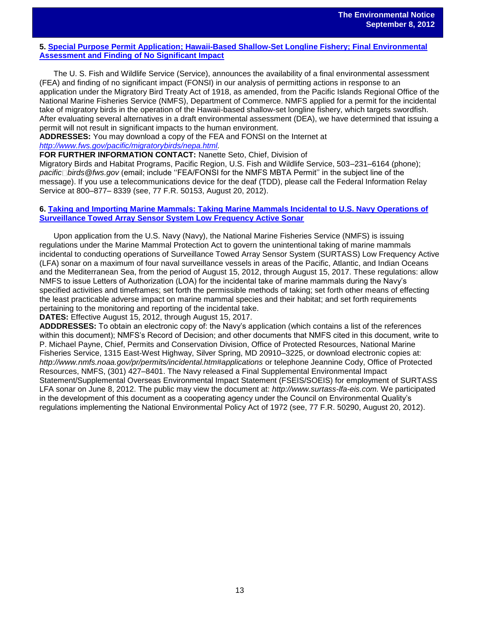### **5. [Special Purpose Permit Application; Hawaii-Based Shallow-Set Longline Fishery; Final Environmental](http://www.gpo.gov/fdsys/pkg/FR-2012-08-20/pdf/2012-20327.pdf) [Assessment and Finding of No Significant Impact](http://www.gpo.gov/fdsys/pkg/FR-2012-08-20/pdf/2012-20327.pdf)**

The U. S. Fish and Wildlife Service (Service), announces the availability of a final environmental assessment (FEA) and finding of no significant impact (FONSI) in our analysis of permitting actions in response to an application under the Migratory Bird Treaty Act of 1918, as amended, from the Pacific Islands Regional Office of the National Marine Fisheries Service (NMFS), Department of Commerce. NMFS applied for a permit for the incidental take of migratory birds in the operation of the Hawaii-based shallow-set longline fishery, which targets swordfish. After evaluating several alternatives in a draft environmental assessment (DEA), we have determined that issuing a permit will not result in significant impacts to the human environment.

**ADDRESSES:** You may download a copy of the FEA and FONSI on the Internet at *[http://www.fws.gov/pacific/migratorybirds/nepa.html.](http://www.fws.gov/pacific/migratorybirds/nepa.html)*

**FOR FURTHER INFORMATION CONTACT:** Nanette Seto, Chief, Division of

Migratory Birds and Habitat Programs, Pacific Region, U.S. Fish and Wildlife Service, 503–231–6164 (phone); *pacific birds@fws.gov* (email; include ''FEA/FONSI for the NMFS MBTA Permit'' in the subject line of the message). If you use a telecommunications device for the deaf (TDD), please call the Federal Information Relay Service at 800–877– 8339 (see, 77 F.R. 50153, August 20, 2012).

### **6. [Taking and Importing Marine Mammals: Taking Marine Mammals Incidental to U.S. Navy Operations of](http://www.gpo.gov/fdsys/pkg/FR-2012-08-20/pdf/2012-20214.pdf) [Surveillance Towed Array Sensor System Low Frequency Active Sonar](http://www.gpo.gov/fdsys/pkg/FR-2012-08-20/pdf/2012-20214.pdf)**

Upon application from the U.S. Navy (Navy), the National Marine Fisheries Service (NMFS) is issuing regulations under the Marine Mammal Protection Act to govern the unintentional taking of marine mammals incidental to conducting operations of Surveillance Towed Array Sensor System (SURTASS) Low Frequency Active (LFA) sonar on a maximum of four naval surveillance vessels in areas of the Pacific, Atlantic, and Indian Oceans and the Mediterranean Sea, from the period of August 15, 2012, through August 15, 2017. These regulations: allow NMFS to issue Letters of Authorization (LOA) for the incidental take of marine mammals during the Navy's specified activities and timeframes; set forth the permissible methods of taking; set forth other means of effecting the least practicable adverse impact on marine mammal species and their habitat; and set forth requirements pertaining to the monitoring and reporting of the incidental take.

**DATES:** Effective August 15, 2012, through August 15, 2017.

**ADDDRESSES:** To obtain an electronic copy of: the Navy's application (which contains a list of the references within this document); NMFS's Record of Decision; and other documents that NMFS cited in this document, write to P. Michael Payne, Chief, Permits and Conservation Division, Office of Protected Resources, National Marine Fisheries Service, 1315 East-West Highway, Silver Spring, MD 20910–3225, or download electronic copies at: *http://www.nmfs.noaa.gov/pr/permits/incidental.htm#applications* or telephone Jeannine Cody, Office of Protected Resources, NMFS, (301) 427–8401. The Navy released a Final Supplemental Environmental Impact Statement/Supplemental Overseas Environmental Impact Statement (FSEIS/SOEIS) for employment of SURTASS LFA sonar on June 8, 2012. The public may view the document at: *http://www.surtass-lfa-eis.com.* We participated in the development of this document as a cooperating agency under the Council on Environmental Quality's regulations implementing the National Environmental Policy Act of 1972 (see, 77 F.R. 50290, August 20, 2012).